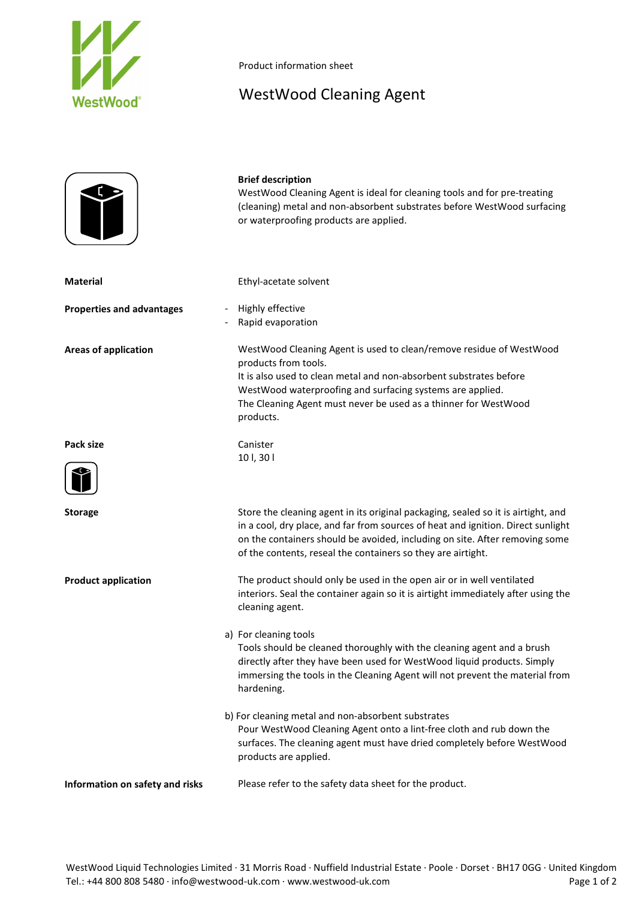

Product information sheet

## WestWood Cleaning Agent

## **Brief description**

WestWood Cleaning Agent is ideal for cleaning tools and for pre-treating (cleaning) metal and non-absorbent substrates before WestWood surfacing or waterproofing products are applied.

**Material** Ethyl-acetate solvent

- **Properties and advantages** Highly effective
	- Rapid evaporation

**Areas of application** WestWood Cleaning Agent is used to clean/remove residue of WestWood products from tools. It is also used to clean metal and non-absorbent substrates before WestWood waterproofing and surfacing systems are applied. The Cleaning Agent must never be used as a thinner for WestWood products.

**Pack size** Canister



10 l, 30 l

**Storage** Store the cleaning agent in its original packaging, sealed so it is airtight, and in a cool, dry place, and far from sources of heat and ignition. Direct sunlight on the containers should be avoided, including on site. After removing some of the contents, reseal the containers so they are airtight.

**Product application** The product should only be used in the open air or in well ventilated interiors. Seal the container again so it is airtight immediately after using the cleaning agent.

> a) For cleaning tools Tools should be cleaned thoroughly with the cleaning agent and a brush directly after they have been used for WestWood liquid products. Simply immersing the tools in the Cleaning Agent will not prevent the material from hardening.

b) For cleaning metal and non-absorbent substrates Pour WestWood Cleaning Agent onto a lint-free cloth and rub down the surfaces. The cleaning agent must have dried completely before WestWood products are applied.

**Information on safety and risks** Please refer to the safety data sheet for the product.